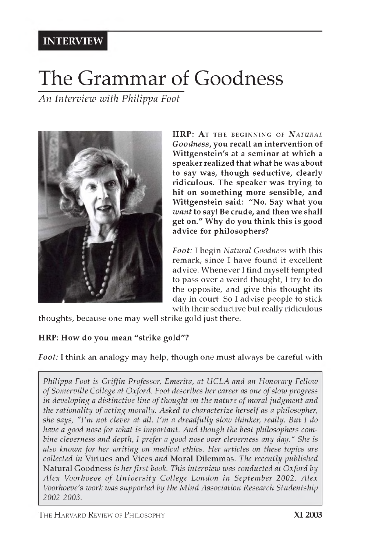# **INTERVIEW**

# **The Grammar of Goodness**

*An Interview with Philippa Foot*



**HRP: At THE BEGINNING OF** *NATURAL G oodness,* **you recall an intervention of Wittgenstein's at a seminar at which a speaker realized that what he was about to say was, though seductive, clearly ridiculous. The speaker was trying to hit on something more sensible, and Wittgenstein said: "No. Say what you** *want* **to say! Be crude, and then we shall get on." Why do you think this is good advice for philosophers?**

*Foot: I* begin *Natural Goodness* with this remark, since I have found it excellent advice. Whenever I find myself tempted to pass over a weird thought, I try to do the opposite, and give this thought its day in court. So I advise people to stick with their seductive but really ridiculous

thoughts, because one may well strike gold just there.

#### **HRP: How do you mean "strike gold"?**

*Foot:* I think an analogy may help, though one must always be careful with

*Philippa Foot is Griffin Professor, Emerita, at UCLA and an Honorary Fellow of Somerville College at Oxford. Foot describes her career as one of slow progress in developing a distinctive line of thought on the nature of moral judgment and the rationality of acting morally. Asked to characterize herself as a philosopher, she says, "I'm not clever at all. I'm a dreadfully slow thinker, really. But I do have a good nose for what is important. And though the best philosophers combine cleverness and depth, I prefer a good nose over cleverness any day." She is also known for her writing on medical ethics. Her articles on these topics are collected in* Virtues and Vices *and* Moral Dilemmas. *The recently published* Natural Goodness *is her first book. This interview was conducted at Oxford by* Alex Voorhoeve of University College London in September 2002. Alex *Voorhoeve's work was supported by the Mind Association Research Studentship 2002-2003.*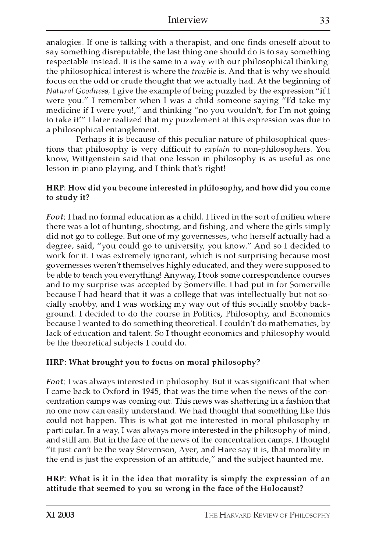analogies. If one is talking with a therapist, and one finds oneself about to say something disreputable, the last thing one should do is to say something respectable instead. It is the same in a way with our philosophical thinking: the philosophical interest is where the *trouble* is. And that is why we should focus on the odd or crude thought that we actually had. At the beginning of *Natural Goodness,* I give the example of being puzzled by the expression "if I were you." I remember when I was a child someone saying "I'd take my medicine if I were you!," and thinking "no you wouldn't, for I'm not going to take it!" I later realized that my puzzlement at this expression was due to a philosophical entanglement.

Perhaps it is because of this peculiar nature of philosophical questions that philosophy is very difficult to *explain* to non-philosophers. You know, Wittgenstein said that one lesson in philosophy is as useful as one lesson in piano playing, and I think that's right!

#### HRP: How did you become interested in philosophy, and how did you come to study it?

*Foot:* I had no formal education as a child. I lived in the sort of milieu where there was a lot of hunting, shooting, and fishing, and where the girls simply did not go to college. But one of my governesses, who herself actually had a degree, said, "you could go to university, you know." And so I decided to work for it. I was extremely ignorant, which is not surprising because most governesses weren't themselves highly educated, and they were supposed to be able to teach you everything! Anyway, I took some correspondence courses and to my surprise was accepted by Somerville. I had put in for Somerville because I had heard that it was a college that was intellectually but not socially snobby, and I was working my way out of this socially snobby background. I decided to do the course in Politics, Philosophy, and Economics because I wanted to do something theoretical. I couldn't do mathematics, by lack of education and talent. So I thought economics and philosophy would be the theoretical subjects I could do.

#### HRP: What brought you to focus on moral philosophy?

*Foot:* I was always interested in philosophy. But it was significant that when I came back to Oxford in 1945, that was the time when the news of the concentration camps was coming out. This news was shattering in a fashion that no one now can easily understand. We had thought that something like this could not happen. This is what got me interested in moral philosophy in particular. In a way, I was always more interested in the philosophy of mind, and still am. But in the face of the news of the concentration camps, I thought "it just can't be the way Stevenson, Ayer, and Hare say it is, that morality in the end is just the expression of an attitude," and the subject haunted me.

#### HRP: What is it in the idea that morality is simply the expression of an attitude that seemed to you so wrong in the face of the Holocaust?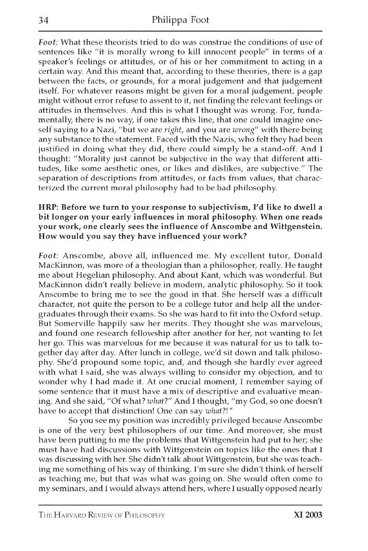*Foot:* What these theorists tried to do was construe the conditions of use of sentences like "it is morally wrong to kill innocent people" in terms of a speaker's feelings or attitudes, or of his or her commitment to acting in a certain way. And this meant that, according to these theories, there is a gap between the facts, or grounds, for a moral judgement and that judgement itself. For whatever reasons might be given for a moral judgement, people might without error refuse to assent to it, not finding the relevant feelings or attitudes in themselves. And this is what I thought was wrong. For, fundamentally, there is no way, if one takes this line, that one could imagine oneself saying to a Nazi, "but we are *right,* and you are *wrong"* with there being any substance to the statement. Faced with the Nazis, who felt they had been justified in doing what they did, there could simply be a stand-off. And I thought: "Morality just cannot be subjective in the way that different attitudes, like some aesthetic ones, or likes and dislikes, are subjective." The separation of descriptions from attitudes, or facts from values, that characterized the current moral philosophy had to be bad philosophy.

#### HRP: Before we turn to your response to subjectivism, I'd like to dwell a bit longer on your early influences in moral philosophy. When one reads your work, one clearly sees the influence of Anscombe and Wittgenstein. How would you say they have influenced your work?

*Foot:* Anscombe, above all, influenced me. My excellent tutor, Donald MacKinnon, was more of a theologian than a philosopher, really. He taught me about Hegelian philosophy. And about Kant, which was wonderful. But MacKinnon didn't really believe in modern, analytic philosophy. So it took Anscombe to bring me to see the good in that. She herself was a difficult character, not quite the person to be a college tutor and help all the undergraduates through their exams. So she was hard to fit into the Oxford setup. But Somerville happily saw her merits. They thought she was marvelous, and found one research fellowship after another for her, not wanting to let her go. This was marvelous for me because it was natural for us to talk together day after day. After lunch in college, we'd sit down and talk philosophy. She'd propound some topic, and, and though she hardly ever agreed with what I said, she was always willing to consider my objection, and to wonder why I had made it. At one crucial moment, I remember saying of some sentence that it must have a mix of descriptive and evaluative meaning. And she said, "Of what? *what?''* And I thought, "my God, so one doesn't have to accept that distinction! One can say *what?!"*

So you see my position was incredibly privileged because Anscombe is one of the very best philosophers of our time. And moreover, she must have been putting to me the problems that Wittgenstein had put to her; she must have had discussions with Wittgenstein on topics like the ones that I was discussing with her. She didn't talk about Wittgenstein, but she was teaching me something of his way of thinking. I'm sure she didn't think of herself as teaching me, but that was what was going on. She would often come to my seminars, and I would always attend hers, where I usually opposed nearly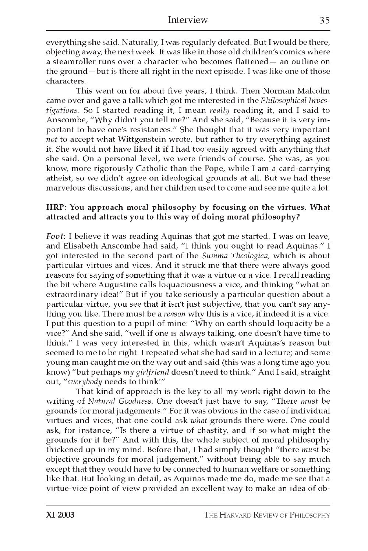everything she said. Naturally, I was regularly defeated. But I would be there, objecting away, the next week. It was like in those old children's comics where a steamroller runs over a character who becomes flattened — an outline on the ground—but is there all right in the next episode. I was like one of those characters.

This went on for about five years, I think. Then Norman Malcolm came over and gave a talk which got me interested in the *Philosophical Investigations.* So I started reading it, I mean *really* reading it, and I said to Anscombe, "Why didn't you tell me?" And she said, "Because it is very important to have one's resistances." She thought that it was very important *not* to accept what Wittgenstein wrote, but rather to try everything against it. She would not have liked it if I had too easily agreed with anything that she said. On a personal level, we were friends of course. She was, as you know, more rigorously Catholic than the Pope, while I am a card-carrying atheist, so we didn't agree on ideological grounds at all. But we had these marvelous discussions, and her children used to come and see me quite a lot.

#### HRP: You approach moral philosophy by focusing on the virtues. What attracted and attracts you to this way of doing moral philosophy?

*Foot:* I believe it was reading Aquinas that got me started. I was on leave, and Elisabeth Anscombe had said, "I think you ought to read Aquinas." I got interested in the second part of the *Summa Theologica,* which is about particular virtues and vices. And it struck me that there were always good reasons for saying of something that it was a virtue or a vice. I recall reading the bit where Augustine calls loquaciousness a vice, and thinking "what an extraordinary idea!" But if you take seriously a particular question about a particular virtue, you see that it isn't just subjective, that you can't say anything you like. There must be a *reason* why this is a vice, if indeed it is a vice. I put this question to a pupil of mine: "Why on earth should loquacity be a vice?" And she said, "well if one is always talking, one doesn't have time to think." I was very interested in this, which wasn't Aquinas's reason but seemed to me to be right. I repeated what she had said in a lecture; and some young man caught me on the way out and said (this was a long time ago you know) "but perhaps *my girlfriend* doesn't need to think." And I said, straight out, "*everybody* needs to think!"

That kind of approach is the key to all my work right down to the writing of *Natural Goodness*. One doesn't just have to say, "There *must* be grounds for moral judgements." For it was obvious in the case of individual virtues and vices, that one could ask *what* grounds there were. One could ask, for instance, "Is there a virtue of chastity, and if so what might the grounds for it be?" And with this, the whole subject of moral philosophy thickened up in my mind. Before that, I had simply thought "there *must* be objective grounds for moral judgement," without being able to say much except that they would have to be connected to human welfare or something like that. But looking in detail, as Aquinas made me do, made me see that a virtue-vice point of view provided an excellent way to make an idea of ob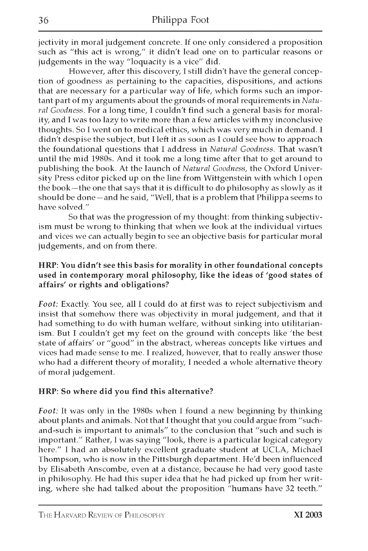jectivity in moral judgement concrete. If one only considered a proposition such as "this act is wrong," it didn't lead one on to particular reasons or judgements in the way "loquacity is a vice" did.

However, after this discovery, I still didn't have the general conception of goodness as pertaining to the capacities, dispositions, and actions that are necessary for a particular way of life, which forms such an important part of my arguments about the grounds of moral requirements in *Natural Goodness.* For a long time, I couldn't find such a general basis for morality, and I was too lazy to write more than a few articles with my inconclusive thoughts. So I went on to medical ethics, which was very much in demand. I didn't despise the subject, but I left it as soon as I could see how to approach the foundational questions that I address in *Natural Goodness.* That wasn't until the mid 1980s. And it took me a long time after that to get around to publishing the book. At the launch of *Natural Goodness,* the Oxford University Press editor picked up on the line from Wittgenstein with which I open the book—the one that says that it is difficult to do philosophy as slowly as it should be done — and he said, "Well, that is a problem that Philippa seems to have solved."

So that was the progression of my thought: from thinking subjectivism must be wrong to thinking that when we look at the individual virtues and vices we can actually begin to see an objective basis for particular moral judgements, and on from there.

#### HRP: You didn't see this basis for morality in other foundational concepts used in contemporary moral philosophy, like the ideas of 'good states of affairs' or rights and obligations?

*Foot:* Exactly. You see, all I could do at first was to reject subjectivism and insist that somehow there was objectivity in moral judgement, and that it had something to do with human welfare, without sinking into utilitarianism. But I couldn't get my feet on the ground with concepts like 'the best state of affairs' or "good" in the abstract, whereas concepts like virtues and vices had made sense to me. I realized, however, that to really answer those who had a different theory of morality, I needed a whole alternative theory of moral judgement.

#### HRP: So where did you find this alternative?

*Foot:* It was only in the 1980s when I found a new beginning by thinking about plants and animals. Not that I thought that you could argue from "suchand-such is important to animals" to the conclusion that "such and such is important." Rather, I was saying "look, there is a particular logical category here." I had an absolutely excellent graduate student at UCLA, Michael Thompson, who is now in the Pittsburgh department. He'd been influenced by Elisabeth Anscombe, even at a distance, because he had very good taste in philosophy. He had this super idea that he had picked up from her writing, where she had talked about the proposition "humans have 32 teeth."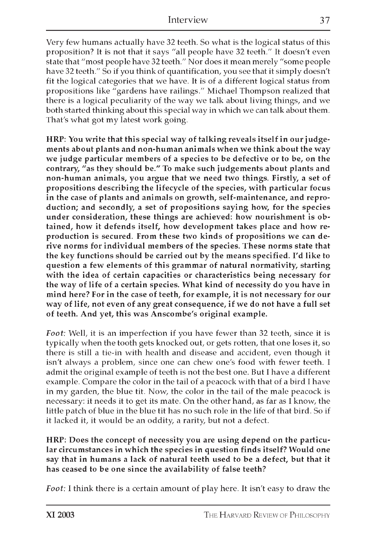Very few humans actually have 32 teeth. So what is the logical status of this proposition? It is not that it says "all people have 32 teeth." It doesn't even state that "most people have 32 teeth." Nor does it mean merely "some people have 32 teeth." So if you think of quantification, you see that it simply doesn't fit the logical categories that we have. It is of a different logical status from propositions like "gardens have railings." Michael Thompson realized that there is a logical peculiarity of the way we talk about living things, and we both started thinking about this special way in which we can talk about them. That's what got my latest work going.

HRP: You write that this special way of talking reveals itself in our judgements about plants and non-human animals when we think about the way we judge particular members of a species to be defective or to be, on the contrary, "as they should be." To make such judgements about plants and non-human animals, you argue that we need two things. Firstly, a set of propositions describing the lifecycle of the species, with particular focus in the case of plants and animals on growth, self-maintenance, and reproduction; and secondly, a set of propositions saying how, for the species under consideration, these things are achieved: how nourishment is obtained, how it defends itself, how development takes place and how reproduction is secured. From these two kinds of propositions we can derive norms for individual members of the species. These norms state that the key functions should be carried out by the means specified. I'd like to question a few elements of this grammar of natural normativity, starting with the idea of certain capacities or characteristics being necessary for the way of life of a certain species. What kind of necessity do you have in mind here? For in the case of teeth, for example, it is not necessary for our way of life, not even of any great consequence, if we do not have a full set of teeth. And yet, this was Anscombe's original example.

*Foot:* Well, it is an imperfection if you have fewer than 32 teeth, since it is typically when the tooth gets knocked out, or gets rotten, that one loses it, so there is still a tie-in with health and disease and accident, even though it isn't always a problem, since one can chew one's food with fewer teeth. I admit the original example of teeth is not the best one. But I have a different example. Compare the color in the tail of a peacock with that of a bird I have in my garden, the blue tit. Now, the color in the tail of the male peacock is necessary: it needs it to get its mate. On the other hand, as far as I know, the little patch of blue in the blue tit has no such role in the life of that bird. So if it lacked it, it would be an oddity, a rarity, but not a defect.

HRP: Does the concept of necessity you are using depend on the particular circumstances in which the species in question finds itself? Would one say that in humans a lack of natural teeth used to be a defect, but that it has ceased to be one since the availability of false teeth?

*Foot:* I think there is a certain amount of play here. It isn't easy to draw the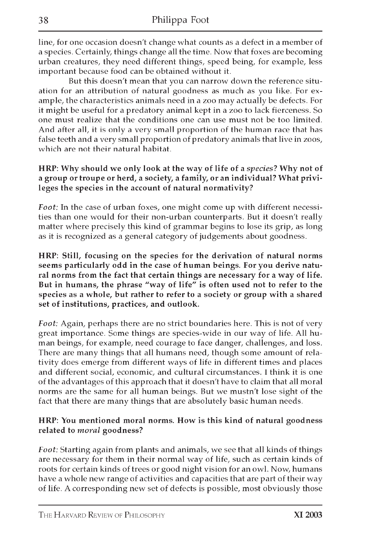line, for one occasion doesn't change what counts as a defect in a member of a species. Certainly, things change all the time. Now that foxes are becoming urban creatures, they need different things, speed being, for example, less important because food can be obtained without it.

But this doesn't mean that you can narrow down the reference situation for an attribution of natural goodness as much as you like. For example, the characteristics animals need in a zoo may actually be defects. For it might be useful for a predatory animal kept in a zoo to lack fierceness. So one must realize that the conditions one can use must not be too limited. And after all, it is only a very small proportion of the human race that has false teeth and a very small proportion of predatory animals that live in zoos, which are not their natural habitat.

#### HRP: Why should we only look at the way of life of a *species?* Why not of a group or troupe or herd, a society, a family, or an individual? What privileges the species in the account of natural normativity?

*Foot:* In the case of urban foxes, one might come up with different necessities than one would for their non-urban counterparts. But it doesn't really matter where precisely this kind of grammar begins to lose its grip, as long as it is recognized as a general category of judgements about goodness.

HRP: Still, focusing on the species for the derivation of natural norms seems particularly odd in the case of human beings. For you derive natural norms from the fact that certain things are necessary for a way of life. But in humans, the phrase "way of life" is often used not to refer to the species as a whole, but rather to refer to a society or group with a shared set of institutions, practices, and outlook.

*Foot:* Again, perhaps there are no strict boundaries here. This is not of very great importance. Some things are species-wide in our way of life. All human beings, for example, need courage to face danger, challenges, and loss. There are many things that all humans need, though some amount of relativity does emerge from different ways of life in different times and places and different social, economic, and cultural circumstances. I think it is one of the advantages of this approach that it doesn't have to claim that all moral norms are the same for all human beings. But we mustn't lose sight of the fact that there are many things that are absolutely basic human needs.

#### HRP: You mentioned moral norms. How is this kind of natural goodness related to *moral* goodness?

*Foot:* Starting again from plants and animals, we see that all kinds of things are necessary for them in their normal way of life, such as certain kinds of roots for certain kinds of trees or good night vision for an owl. Now, humans have a whole new range of activities and capacities that are part of their way of life. A corresponding new set of defects is possible, most obviously those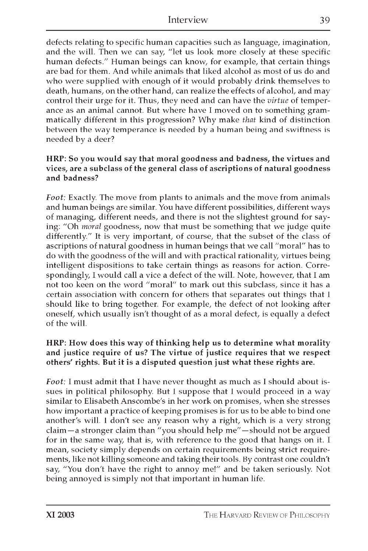defects relating to specific human capacities such as language, imagination, and the will. Then we can say, "let us look more closely at these specific human defects." Human beings can know, for example, that certain things are bad for them. And while animals that liked alcohol as most of us do and who were supplied with enough of it would probably drink themselves to death, humans, on the other hand, can realize the effects of alcohol, and may control their urge for it. Thus, they need and can have the *virtue* of temperance as an animal cannot. But where have I moved on to something grammatically different in this progression? Why make *that* kind of distinction between the way temperance is needed by a human being and swiftness is needed by a deer?

#### HRP: So you would say that moral goodness and badness, the virtues and vices, are a subclass of the general class of ascriptions of natural goodness and badness?

*Foot:* Exactly. The move from plants to animals and the move from animals and human beings are similar. You have different possibilities, different ways of managing, different needs, and there is not the slightest ground for saying: "Oh *moral* goodness, now that must be something that we judge quite differently." It is very important, of course, that the subset of the class of ascriptions of natural goodness in human beings that we call "moral" has to do with the goodness of the will and with practical rationality, virtues being intelligent dispositions to take certain things as reasons for action. Correspondingly, I would call a vice a defect of the will. Note, however, that I am not too keen on the word "moral" to mark out this subclass, since it has a certain association with concern for others that separates out things that I should like to bring together. For example, the defect of not looking after oneself, which usually isn't thought of as a moral defect, is equally a defect of the will.

#### HRP: How does this way of thinking help us to determine what morality and justice require of us? The virtue of justice requires that we respect others' rights. But it is a disputed question just what these rights are.

*Foot:* I must admit that I have never thought as much as I should about issues in political philosophy. But I suppose that I would proceed in a way similar to Elisabeth Anscombe's in her work on promises, when she stresses how important a practice of keeping promises is for us to be able to bind one another's will. I don't see any reason why a right, which is a very strong claim — a stronger claim than "you should help me" — should not be argued for in the same way, that is, with reference to the good that hangs on it. I mean, society simply depends on certain requirements being strict requirements, like not killing someone and taking their tools. By contrast one couldn't say, "You don't have the right to annoy me!" and be taken seriously. Not being annoyed is simply not that important in human life.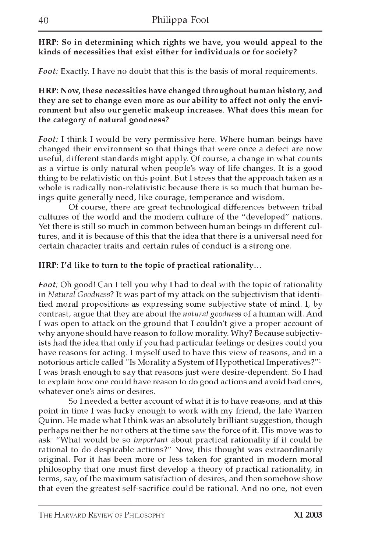HRP: So in determining which rights we have, you would appeal to the kinds of necessities that exist either for individuals or for society?

*Foot:* Exactly. I have no doubt that this is the basis of moral requirements.

HRP: Now, these necessities have changed throughout human history, and they are set to change even more as our ability to affect not only the environment but also our genetic makeup increases. What does this mean for the category of natural goodness?

*Foot:* I think I would be very permissive here. Where human beings have changed their environment so that things that were once a defect are now useful, different standards might apply. Of course, a change in what counts as a virtue is only natural when people's way of life changes. It is a good thing to be relativistic on this point. But I stress that the approach taken as a whole is radically non-relativistic because there is so much that human beings quite generally need, like courage, temperance and wisdom.

Of course, there are great technological differences between tribal cultures of the world and the modern culture of the "developed" nations. Yet there is still so much in common between human beings in different cultures, and it is because of this that the idea that there is a universal need for certain character traits and certain rules of conduct is a strong one.

HRP: I'd like to turn to the topic of practical rationality...

*Foot:* Oh good! Can I tell you why I had to deal with the topic of rationality in *Natural Goodness*? It was part of my attack on the subjectivism that identified moral propositions as expressing some subjective state of mind. I, by contrast, argue that they are about the *natural goodness* of a human will. And I was open to attack on the ground that I couldn't give a proper account of why anyone should have reason to follow morality. Why? Because subjectivists had the idea that only if you had particular feelings or desires could you have reasons for acting. I myself used to have this view of reasons, and in a notorious article called "Is Morality a System of Hypothetical Imperatives?"1 I was brash enough to say that reasons just were desire-dependent. So I had to explain how one could have reason to do good actions and avoid bad ones, whatever one's aims or desires.

So I needed a better account of what it is to have reasons, and at this point in time I was lucky enough to work with my friend, the late Warren Quinn. He made what I think was an absolutely brilliant suggestion, though perhaps neither he nor others at the time saw the force of it. His move was to ask: "What would be so *important* about practical rationality if it could be rational to do despicable actions?" Now, this thought was extraordinarily original. For it has been more or less taken for granted in modern moral philosophy that one must first develop a theory of practical rationality, in terms, say, of the maximum satisfaction of desires, and then somehow show that even the greatest self-sacrifice could be rational. And no one, not even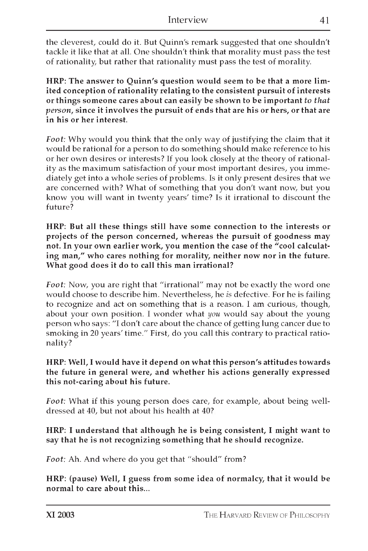the cleverest, could do it. But Quinn's remark suggested that one shouldn't tackle it like that at all. One shouldn't think that morality must pass the test of rationality, but rather that rationality must pass the test of morality.

HRP: The answer to Quinn's question would seem to be that a more limited conception of rationality relating to the consistent pursuit of interests or things someone cares about can easily be shown to be important *to that person,* since it involves the pursuit of ends that are his or hers, or that are in his or her interest.

*Foot:* Why would you think that the only way of justifying the claim that it would be rational for a person to do something should make reference to his or her own desires or interests? If you look closely at the theory of rationality as the maximum satisfaction of your most important desires, you immediately get into a whole series of problems. Is it only present desires that we are concerned with? What of something that you don't want now, but you know you will want in twenty years' time? Is it irrational to discount the future?

HRP: But all these things still have some connection to the interests or projects of the person concerned, whereas the pursuit of goodness may not. In your own earlier work, you mention the case of the "cool calculating man," who cares nothing for morality, neither now nor in the future. What good does it do to call this man irrational?

*Foot:* Now, you are right that "irrational" may not be exactly the word one would choose to describe him. Nevertheless, he *is* defective. For he is failing to recognize and act on something that is a reason. I am curious, though, about your own position. I wonder what *you* would say about the young person who says: "I don't care about the chance of getting lung cancer due to smoking in 20 years' time." First, do you call this contrary to practical rationality?

HRP: Well, I would have it depend on what this person's attitudes towards the future in general were, and whether his actions generally expressed this not-caring about his future.

*Foot:* What if this young person does care, for example, about being welldressed at 40, but not about his health at 40?

#### HRP: I understand that although he is being consistent, I might want to say that he is not recognizing something that he should recognize.

*Foot:* Ah. And where do you get that "should" from?

HRP: (pause) Well, I guess from some idea of normalcy, that it would be normal to care about this...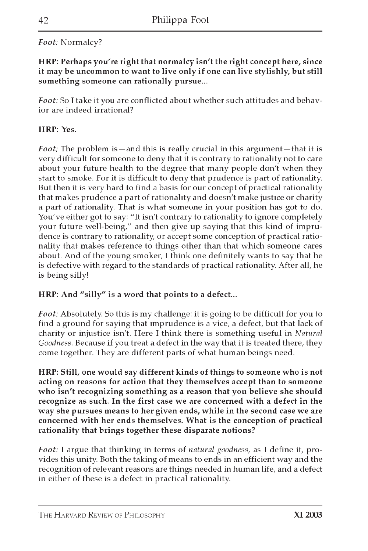### *Foot:* Normalcy?

HRP: Perhaps you're right that normalcy isn't the right concept here, since it may be uncommon to want to live only if one can live stylishly, but still something someone can rationally pursue...

*Foot:* So I take it you are conflicted about whether such attitudes and behavior are indeed irrational?

#### HRP: Yes.

*Foot:* The problem is—and this is really crucial in this argument—that it is very difficult for someone to deny that it is contrary to rationality not to care about your future health to the degree that many people don't when they start to smoke. For it is difficult to deny that prudence is part of rationality. But then it is very hard to find a basis for our concept of practical rationality that makes prudence a part of rationality and doesn't make justice or charity a part of rationality. That is what someone in your position has got to do. You've either got to say: "It isn't contrary to rationality to ignore completely your future well-being," and then give up saying that this kind of imprudence is contrary to rationality, or accept some conception of practical rationality that makes reference to things other than that which someone cares about. And of the young smoker, I think one definitely wants to say that he is defective with regard to the standards of practical rationality. After all, he is being silly!

#### HRP: And "silly" is a word that points to a defect...

*Foot:* Absolutely. So this is my challenge: it is going to be difficult for you to find a ground for saying that imprudence is a vice, a defect, but that lack of charity or injustice isn't. Here I think there is something useful in *Natural Goodness.* Because if you treat a defect in the way that it is treated there, they come together. They are different parts of what human beings need.

HRP: Still, one would say different kinds of things to someone who is not acting on reasons for action that they themselves accept than to someone who isn't recognizing something as a reason that you believe she should recognize as such. In the first case we are concerned with a defect in the way she pursues means to her given ends, while in the second case we are concerned with her ends themselves. What is the conception of practical rationality that brings together these disparate notions?

*Foot:* I argue that thinking in terms of *natural goodness,* as I define it, provides this unity. Both the taking of means to ends in an efficient way and the recognition of relevant reasons are things needed in human life, and a defect in either of these is a defect in practical rationality.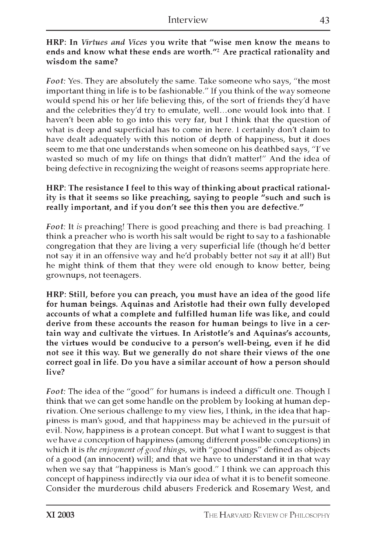#### HRP: In *Virtues and Vices* you write that "wise men know the means to ends and know what these ends are worth."2 Are practical rationality and wisdom the same?

*Foot:* Yes. They are absolutely the same. Take someone who says, "the most important thing in life is to be fashionable." If you think of the way someone would spend his or her life believing this, of the sort of friends they'd have and the celebrities they'd try to emulate, well...one would look into that. I haven't been able to go into this very far, but I think that the question of what is deep and superficial has to come in here. I certainly don't claim to have dealt adequately with this notion of depth of happiness, but it does seem to me that one understands when someone on his deathbed says, "I've wasted so much of my life on things that didn't matter!" And the idea of being defective in recognizing the weight of reasons seems appropriate here.

#### HRP: The resistance I feel to this way of thinking about practical rationality is that it seems so like preaching, saying to people "such and such is really important, and if you don't see this then you are defective."

*Foot:* It *is* preaching! There is good preaching and there is bad preaching. I think a preacher who is worth his salt would be right to say to a fashionable congregation that they are living a very superficial life (though he'd better not say it in an offensive way and he'd probably better not *say* it at all!) But he might think of them that they were old enough to know better, being grownups, not teenagers.

HRP: Still, before you can preach, you must have an idea of the good life for human beings. Aquinas and Aristotle had their own fully developed accounts of what a complete and fulfilled human life was like, and could derive from these accounts the reason for human beings to live in a certain way and cultivate the virtues. In Aristotle's and Aquinas's accounts, the virtues would be conducive to a person's well-being, even if he did not see it this way. But we generally do not share their views of the one correct goal in life. Do you have a similar account of how a person should live?

*Foot:* The idea of the "good" for humans is indeed a difficult one. Though I think that we can get some handle on the problem by looking at human deprivation. One serious challenge to my view lies, I think, in the idea that happiness is man's good, and that happiness may be achieved in the pursuit of evil. Now, happiness is a protean concept. But what I want to suggest is that we have *a* conception of happiness (among different possible conceptions) in which it is *the enjoyment of good things,* with "good things" defined as objects of a good (an innocent) will; and that we have to understand it in that way when we say that "happiness is Man's good." I think we can approach this concept of happiness indirectly via our idea of what it is to benefit someone. Consider the murderous child abusers Frederick and Rosemary West, and